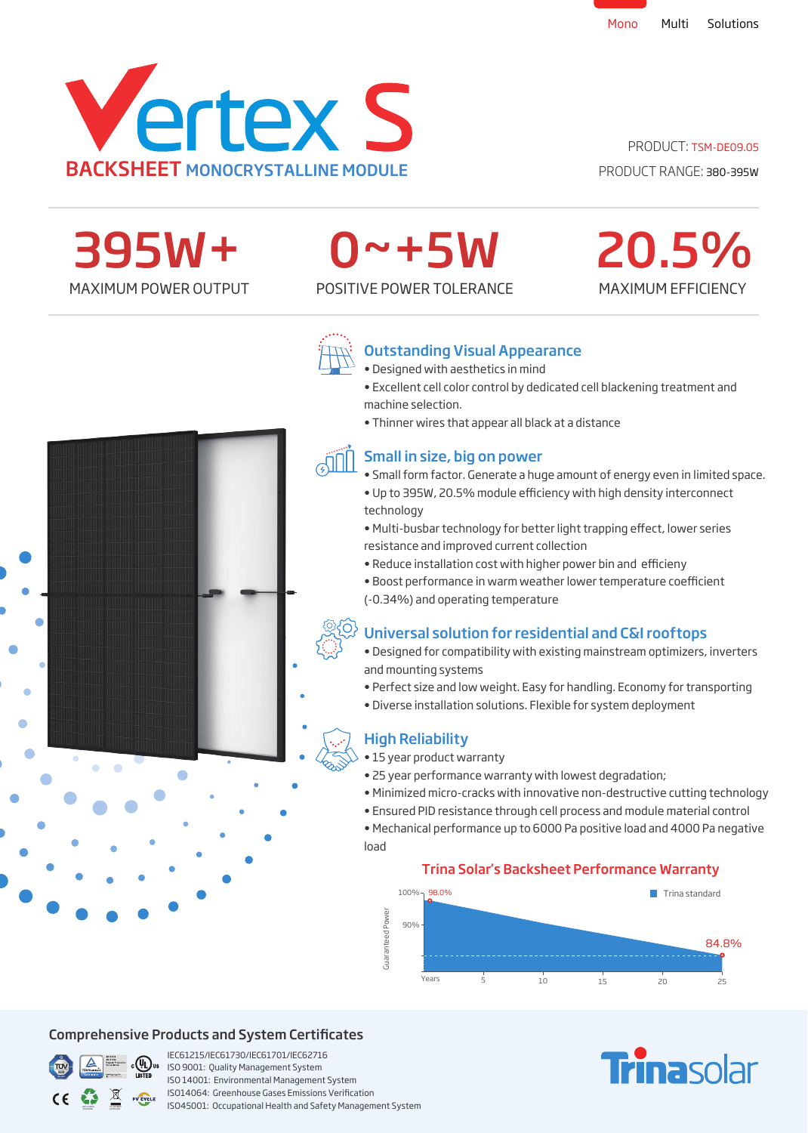

## PRODUCT: TSM-DE09.05

MAXIMUM EFFICIENCY

20.5%



## 0~+5W

MAXIMUM POWER OUTPUT POSITIVE POWER TOLERANCE



## Outstanding Visual Appearance

- Designed with aesthetics in mind
- Excellent cell color control by dedicated cell blackening treatment and machine selection.
- Thinner wires that appear all black at a distance

## Small in size, big on power

- Small form factor. Generate a huge amount of energy even in limited space. • Up to 395W, 20.5% module efficiency with high density interconnect technology
- Multi-busbar technology for better light trapping effect, lower series resistance and improved current collection
- Reduce installation cost with higher power bin and efficieny
- Boost performance in warm weather lower temperature coefficient (-0.34%) and operating temperature

## Universal solution for residential and C&I rooftops

- Designed for compatibility with existing mainstream optimizers, inverters and mounting systems
- Perfect size and low weight. Easy for handling. Economy for transporting
- Diverse installation solutions. Flexible for system deployment

## High Reliability

- 15 year product warranty
- 25 year performance warranty with lowest degradation;
- Minimized micro-cracks with innovative non-destructive cutting technology
- Ensured PID resistance through cell process and module material control
- Mechanical performance up to 6000 Pa positive load and 4000 Pa negative load

### Trina Solar's Backsheet Performance Warranty



### Comprehensive Products and System Certificates



IEC61215/IEC61730/IEC61701/IEC62716 ISO 9001: Quality Management System ISO 14001: Environmental Management System ISO14064: Greenhouse Gases Emissions Verication ISO45001: Occupational Health and Safety Management System

## **Trina**solar